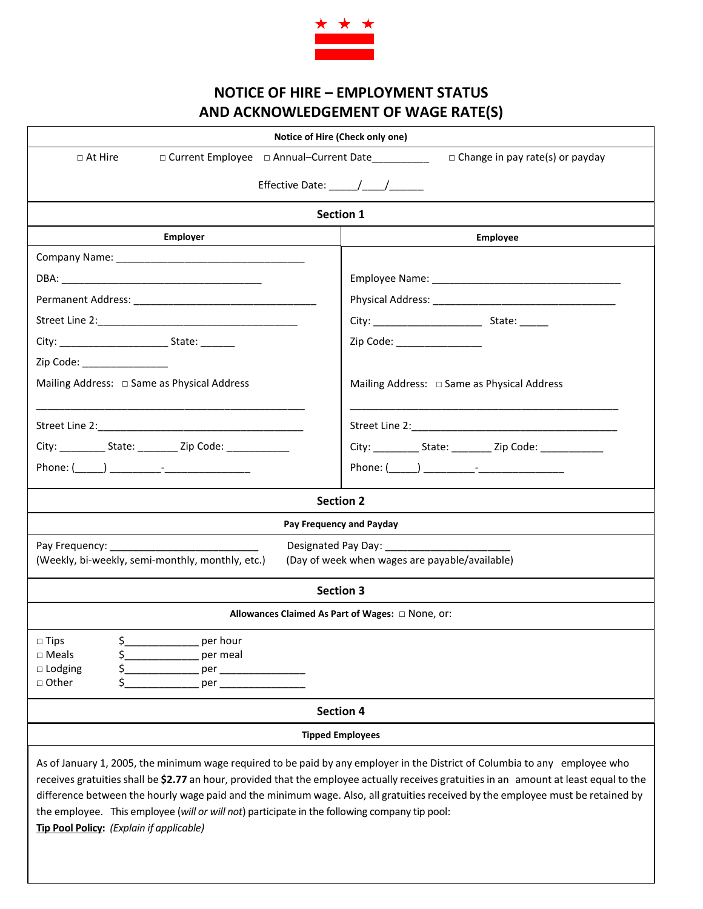

## **NOTICE OF HIRE – EMPLOYMENT STATUS AND ACKNOWLEDGEMENT OF WAGE RATE(S)**

| Notice of Hire (Check only one)                                                                                                                                                                                                                                                                                                                                                                                                                                                                                                                        |                                                                      |  |  |
|--------------------------------------------------------------------------------------------------------------------------------------------------------------------------------------------------------------------------------------------------------------------------------------------------------------------------------------------------------------------------------------------------------------------------------------------------------------------------------------------------------------------------------------------------------|----------------------------------------------------------------------|--|--|
| $\Box$ At Hire<br>□ Current Employee □ Annual-Current Date<br>$\Box$ Change in pay rate(s) or payday                                                                                                                                                                                                                                                                                                                                                                                                                                                   |                                                                      |  |  |
|                                                                                                                                                                                                                                                                                                                                                                                                                                                                                                                                                        |                                                                      |  |  |
| <b>Section 1</b>                                                                                                                                                                                                                                                                                                                                                                                                                                                                                                                                       |                                                                      |  |  |
| <b>Employer</b>                                                                                                                                                                                                                                                                                                                                                                                                                                                                                                                                        | Employee                                                             |  |  |
|                                                                                                                                                                                                                                                                                                                                                                                                                                                                                                                                                        |                                                                      |  |  |
|                                                                                                                                                                                                                                                                                                                                                                                                                                                                                                                                                        |                                                                      |  |  |
|                                                                                                                                                                                                                                                                                                                                                                                                                                                                                                                                                        |                                                                      |  |  |
|                                                                                                                                                                                                                                                                                                                                                                                                                                                                                                                                                        |                                                                      |  |  |
|                                                                                                                                                                                                                                                                                                                                                                                                                                                                                                                                                        | Zip Code: __________________                                         |  |  |
| Zip Code: The Contract of the Contract of the Code:                                                                                                                                                                                                                                                                                                                                                                                                                                                                                                    |                                                                      |  |  |
| Mailing Address: □ Same as Physical Address                                                                                                                                                                                                                                                                                                                                                                                                                                                                                                            | Mailing Address: $\Box$ Same as Physical Address                     |  |  |
|                                                                                                                                                                                                                                                                                                                                                                                                                                                                                                                                                        |                                                                      |  |  |
|                                                                                                                                                                                                                                                                                                                                                                                                                                                                                                                                                        |                                                                      |  |  |
| City: ______________ State: ___________ Zip Code: ______________________________                                                                                                                                                                                                                                                                                                                                                                                                                                                                       | City: _______________ State: ___________ Zip Code: _________________ |  |  |
|                                                                                                                                                                                                                                                                                                                                                                                                                                                                                                                                                        |                                                                      |  |  |
| <b>Section 2</b>                                                                                                                                                                                                                                                                                                                                                                                                                                                                                                                                       |                                                                      |  |  |
| Pay Frequency and Payday                                                                                                                                                                                                                                                                                                                                                                                                                                                                                                                               |                                                                      |  |  |
| Designated Pay Day: __________<br>(Weekly, bi-weekly, semi-monthly, monthly, etc.)<br>(Day of week when wages are payable/available)                                                                                                                                                                                                                                                                                                                                                                                                                   |                                                                      |  |  |
| <b>Section 3</b>                                                                                                                                                                                                                                                                                                                                                                                                                                                                                                                                       |                                                                      |  |  |
| Allowances Claimed As Part of Wages: $\Box$ None, or:                                                                                                                                                                                                                                                                                                                                                                                                                                                                                                  |                                                                      |  |  |
| $\mathsf{S}_-$<br>$\Box$ Tips<br>per hour                                                                                                                                                                                                                                                                                                                                                                                                                                                                                                              |                                                                      |  |  |
| \$<br>$\Box$ Meals<br>_________________ per meal<br>\$<br>$\square$ Lodging                                                                                                                                                                                                                                                                                                                                                                                                                                                                            |                                                                      |  |  |
| \$<br>□ Other<br>per the contract of the contract of the contract of the contract of the contract of the contract of the contract of the contract of the contract of the contract of the contract of the contract of the contract of the contra                                                                                                                                                                                                                                                                                                        |                                                                      |  |  |
| <b>Section 4</b>                                                                                                                                                                                                                                                                                                                                                                                                                                                                                                                                       |                                                                      |  |  |
| <b>Tipped Employees</b>                                                                                                                                                                                                                                                                                                                                                                                                                                                                                                                                |                                                                      |  |  |
| As of January 1, 2005, the minimum wage required to be paid by any employer in the District of Columbia to any employee who<br>receives gratuities shall be \$2.77 an hour, provided that the employee actually receives gratuities in an amount at least equal to the<br>difference between the hourly wage paid and the minimum wage. Also, all gratuities received by the employee must be retained by<br>the employee. This employee (will or will not) participate in the following company tip pool:<br>Tip Pool Policy: (Explain if applicable) |                                                                      |  |  |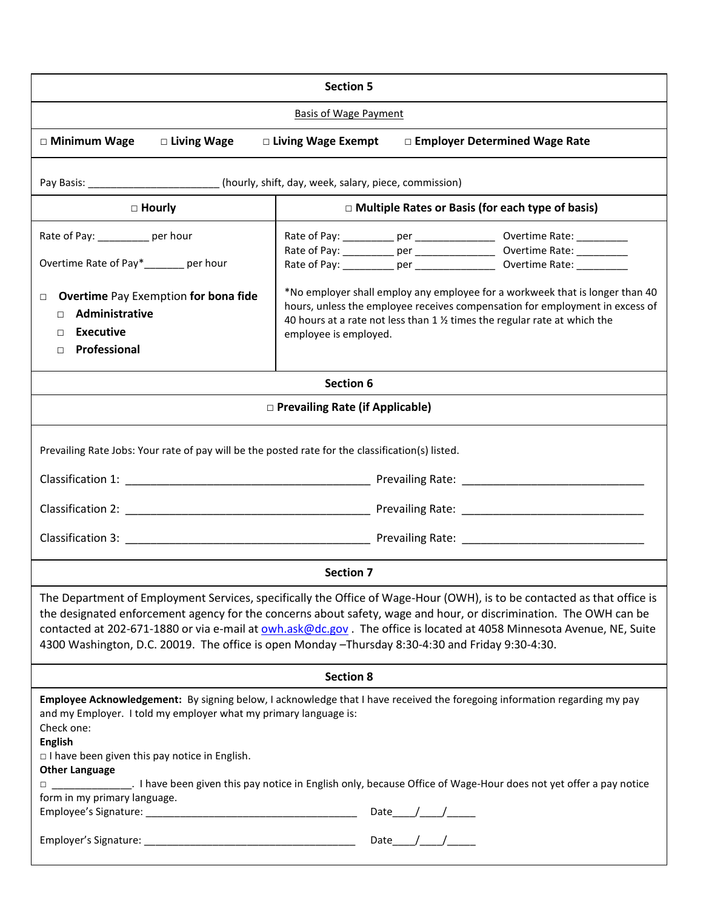| <b>Section 5</b>                                                                                                                                                                                                                                                                                                                                                                                                                                                         |                                                                                                                                                                                                                                                                   |                                                                                  |
|--------------------------------------------------------------------------------------------------------------------------------------------------------------------------------------------------------------------------------------------------------------------------------------------------------------------------------------------------------------------------------------------------------------------------------------------------------------------------|-------------------------------------------------------------------------------------------------------------------------------------------------------------------------------------------------------------------------------------------------------------------|----------------------------------------------------------------------------------|
| <b>Basis of Wage Payment</b>                                                                                                                                                                                                                                                                                                                                                                                                                                             |                                                                                                                                                                                                                                                                   |                                                                                  |
| □ Living Wage<br>□ Minimum Wage                                                                                                                                                                                                                                                                                                                                                                                                                                          | □ Living Wage Exempt                                                                                                                                                                                                                                              | □ Employer Determined Wage Rate                                                  |
| Pay Basis: __________________________(hourly, shift, day, week, salary, piece, commission)                                                                                                                                                                                                                                                                                                                                                                               |                                                                                                                                                                                                                                                                   |                                                                                  |
| $\Box$ Hourly                                                                                                                                                                                                                                                                                                                                                                                                                                                            | $\Box$ Multiple Rates or Basis (for each type of basis)                                                                                                                                                                                                           |                                                                                  |
| Rate of Pay: __________ per hour<br>Overtime Rate of Pay*______ per hour                                                                                                                                                                                                                                                                                                                                                                                                 |                                                                                                                                                                                                                                                                   | Rate of Pay: ____________ per _____________________ Overtime Rate: _____________ |
| <b>Overtime Pay Exemption for bona fide</b><br>$\Box$<br>Administrative<br>П<br><b>Executive</b><br>П<br>Professional<br>П                                                                                                                                                                                                                                                                                                                                               | *No employer shall employ any employee for a workweek that is longer than 40<br>hours, unless the employee receives compensation for employment in excess of<br>40 hours at a rate not less than 1 % times the regular rate at which the<br>employee is employed. |                                                                                  |
| <b>Section 6</b>                                                                                                                                                                                                                                                                                                                                                                                                                                                         |                                                                                                                                                                                                                                                                   |                                                                                  |
| □ Prevailing Rate (if Applicable)                                                                                                                                                                                                                                                                                                                                                                                                                                        |                                                                                                                                                                                                                                                                   |                                                                                  |
| Prevailing Rate Jobs: Your rate of pay will be the posted rate for the classification(s) listed.                                                                                                                                                                                                                                                                                                                                                                         |                                                                                                                                                                                                                                                                   |                                                                                  |
| <b>Section 7</b>                                                                                                                                                                                                                                                                                                                                                                                                                                                         |                                                                                                                                                                                                                                                                   |                                                                                  |
| The Department of Employment Services, specifically the Office of Wage-Hour (OWH), is to be contacted as that office is<br>the designated enforcement agency for the concerns about safety, wage and hour, or discrimination. The OWH can be<br>contacted at 202-671-1880 or via e-mail at owh.ask@dc.gov. The office is located at 4058 Minnesota Avenue, NE, Suite<br>4300 Washington, D.C. 20019. The office is open Monday -Thursday 8:30-4:30 and Friday 9:30-4:30. |                                                                                                                                                                                                                                                                   |                                                                                  |
| <b>Section 8</b>                                                                                                                                                                                                                                                                                                                                                                                                                                                         |                                                                                                                                                                                                                                                                   |                                                                                  |
| Employee Acknowledgement: By signing below, I acknowledge that I have received the foregoing information regarding my pay<br>and my Employer. I told my employer what my primary language is:<br>Check one:<br><b>English</b><br>$\Box$ I have been given this pay notice in English.<br><b>Other Language</b><br>I have been given this pay notice in English only, because Office of Wage-Hour does not yet offer a pay notice<br>form in my primary language.         |                                                                                                                                                                                                                                                                   |                                                                                  |
|                                                                                                                                                                                                                                                                                                                                                                                                                                                                          |                                                                                                                                                                                                                                                                   |                                                                                  |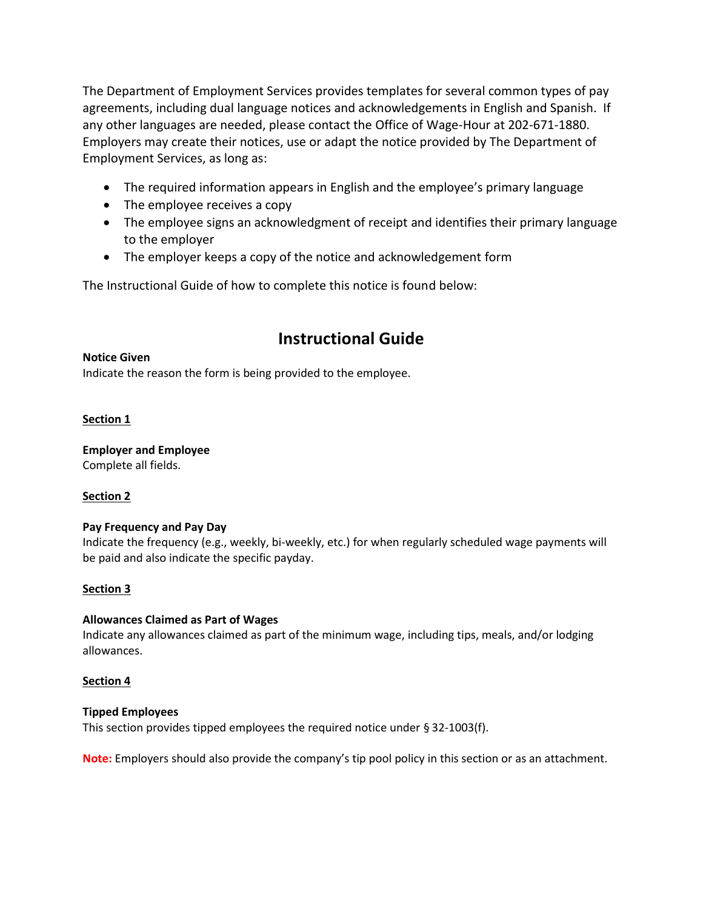The Department of Employment Services provides templates for several common types of pay agreements, including dual language notices and acknowledgements in English and Spanish. If any other languages are needed, please contact the Office of Wage-Hour at 202-671-1880. Employers may create their notices, use or adapt the notice provided by The Department of Employment Services, as long as:

- The required information appears in English and the employee's primary language
- The employee receives a copy
- The employee signs an acknowledgment of receipt and identifies their primary language to the employer
- The employer keeps a copy of the notice and acknowledgement form

The Instructional Guide of how to complete this notice is found below:

# **Instructional Guide**

### **Notice Given**

Indicate the reason the form is being provided to the employee.

## **Section 1**

#### **Employer and Employee** Complete all fields.

## **Section 2**

## **Pay Frequency and Pay Day**

Indicate the frequency (e.g., weekly, bi-weekly, etc.) for when regularly scheduled wage payments will be paid and also indicate the specific payday.

## **Section 3**

## **Allowances Claimed as Part of Wages**

Indicate any allowances claimed as part of the minimum wage, including tips, meals, and/or lodging allowances.

## **Section 4**

## **Tipped Employees**

This section provides tipped employees the required notice under § 32-1003(f).

**Note:** Employers should also provide the company's tip pool policy in this section or as an attachment.